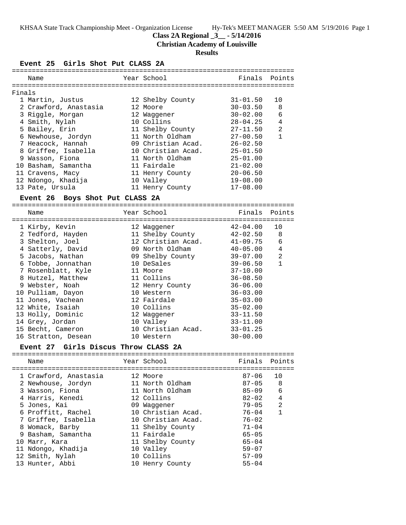KHSAA State Track Championship Meet - Organization License Hy-Tek's MEET MANAGER 5:50 AM 5/19/2016 Page 1

# **Class 2A Regional \_3\_\_ - 5/14/2016**

**Christian Academy of Louisville**

## **Results**

## **Event 25 Girls Shot Put CLASS 2A**

|        | GILIS DHUL FUL CUADD                 |                               |                                     |                |
|--------|--------------------------------------|-------------------------------|-------------------------------------|----------------|
|        |                                      |                               |                                     |                |
|        | Name                                 | Year School                   |                                     | Finals Points  |
|        |                                      |                               |                                     |                |
| Finals |                                      |                               |                                     |                |
|        | 1 Martin, Justus                     | 12 Shelby County              | $31 - 01.50$                        | 10             |
|        | 2 Crawford, Anastasia                | 12 Moore                      | $30 - 03.50$                        | 8              |
|        | 3 Riggle, Morgan                     | 12 Waggener                   | $30 - 02.00$                        | 6              |
|        | 4 Smith, Nylah                       | 10 Collins                    | $28 - 04.25$                        | 4              |
|        | 5 Bailey, Erin                       | 11 Shelby County              | $27 - 11.50$                        | $\overline{a}$ |
|        | 6 Newhouse, Jordyn                   | 11 North Oldham               | $27 - 00.50$                        | $\mathbf{1}$   |
|        | 7 Heacock, Hannah                    | 09 Christian Acad.            | $26 - 02.50$                        |                |
|        | 8 Griffee, Isabella                  | 10 Christian Acad.            | $25 - 01.50$                        |                |
|        | 9 Wasson, Fiona                      | 11 North Oldham               | $25 - 01.00$                        |                |
|        | 10 Basham, Samantha                  | 11 Fairdale                   | $21 - 02.00$                        |                |
|        | 11 Cravens, Macy                     | 11 Henry County               | $20 - 06.50$                        |                |
|        | 12 Ndongo, Khadija                   | 10 Valley                     | $19 - 08.00$                        |                |
|        | 13 Pate, Ursula                      | 11 Henry County               | $17 - 08.00$                        |                |
|        |                                      |                               |                                     |                |
|        | Event 26 Boys Shot Put CLASS 2A      |                               |                                     |                |
|        |                                      |                               |                                     |                |
|        | Name                                 | Year School                   | Finals                              | Points         |
|        | 1 Kirby, Kevin                       | 12 Waggener                   | $42 - 04.00$                        | 10             |
|        | 2 Tedford, Hayden                    | 11 Shelby County              | $42 - 02.50$                        | 8              |
|        | 3 Shelton, Joel                      | 12 Christian Acad.            | $41 - 09.75$                        | 6              |
|        |                                      | 09 North Oldham               |                                     | 4              |
|        | 4 Satterly, David                    |                               | $40 - 05.00$                        | 2              |
|        | 5 Jacobs, Nathan                     | 09 Shelby County              | $39 - 07.00$                        |                |
|        | 6 Tobbe, Jonnathan                   | 10 DeSales                    | $39 - 06.50$                        | $\mathbf{1}$   |
|        | 7 Rosenblatt, Kyle                   | 11 Moore                      | $37 - 10.00$                        |                |
|        | 8 Hutzel, Matthew                    | 11 Collins                    | $36 - 08.50$                        |                |
|        | 9 Webster, Noah                      | 12 Henry County               | $36 - 06.00$                        |                |
|        | 10 Pulliam, Dayon                    | 10 Western                    | $36 - 03.00$                        |                |
|        | 11 Jones, Vachean                    | 12 Fairdale                   | $35 - 03.00$                        |                |
|        | 12 White, Isaiah                     | 10 Collins                    | $35 - 02.00$                        |                |
|        | 13 Holly, Dominic                    | 12 Waggener                   | $33 - 11.50$                        |                |
|        | 14 Grey, Jordan                      | 10 Valley                     | $33 - 11.00$                        |                |
|        | 15 Becht, Cameron                    | 10 Christian Acad.            | $33 - 01.25$                        |                |
|        | 16 Stratton, Desean                  | 10 Western                    | $30 - 00.00$                        |                |
|        | Event 27 Girls Discus Throw CLASS 2A |                               |                                     |                |
|        |                                      |                               |                                     |                |
|        | Name                                 | Year School                   | Finals                              | Points         |
|        |                                      |                               |                                     |                |
|        | 1 Crawford, Anastasia                | 12 Moore                      | $87 - 06$                           | 10             |
|        | 2 Newhouse, Jordyn                   | 11 North Oldham               | $87 - 05$                           | 8              |
|        | $2 \text{ linear series}$ $\Box$ and | $11$ Nother $\bigcap$ Jacques | $\Omega$ $\Gamma$ $\Omega$ $\Omega$ | $\epsilon$     |

| 1 Clawlold, Andbeabla | LA MUULU           |           | ᅩ◡             |
|-----------------------|--------------------|-----------|----------------|
| 2 Newhouse, Jordyn    | 11 North Oldham    | $87 - 05$ | - 8            |
| 3 Wasson, Fiona       | 11 North Oldham    | $85 - 09$ | - 6            |
| 4 Harris, Kenedi      | 12 Collins         | $82 - 02$ | $\overline{4}$ |
| 5 Jones, Kai          | 09 Waqqener        | $79 - 05$ | $\overline{2}$ |
| 6 Proffitt, Rachel    | 10 Christian Acad. | 76-04     | 1              |
| 7 Griffee, Isabella   | 10 Christian Acad. | $76 - 02$ |                |
| 8 Womack, Barby       | 11 Shelby County   | $71 - 04$ |                |
| 9 Basham, Samantha    | 11 Fairdale        | $65 - 05$ |                |
| 10 Marr, Kara         | 11 Shelby County   | $65 - 04$ |                |
| 11 Ndongo, Khadija    | 10 Valley          | $59 - 07$ |                |
| 12 Smith, Nylah       | 10 Collins         | $57 - 09$ |                |
| 13 Hunter, Abbi       | 10 Henry County    | $55 - 04$ |                |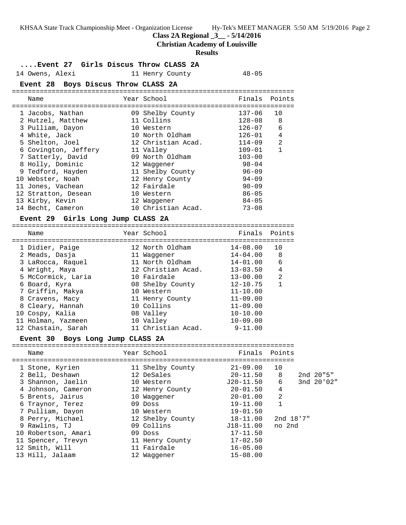KHSAA State Track Championship Meet - Organization License Hy-Tek's MEET MANAGER 5:50 AM 5/19/2016 Page 2 **Class 2A Regional \_3\_\_ - 5/14/2016 Christian Academy of Louisville Results ....Event 27 Girls Discus Throw CLASS 2A** 14 Owens, Alexi 11 Henry County 14 Owens, Alexi **Event 28 Boys Discus Throw CLASS 2A** ======================================================================= Name The Year School The Finals Points ======================================================================= 1 Jacobs, Nathan 09 Shelby County 137-06 10 2 Hutzel, Matthew 11 Collins 128-08 8 3 Pulliam, Dayon 10 Western 126-07 6 4 White, Jack 10 North Oldham 126-01 4 5 Shelton, Joel 12 Christian Acad. 114-09 2 6 Covington, Jeffery 11 Valley 109-01 1 7 Satterly, David 09 North Oldham 103-00 8 Holly, Dominic 12 Waggener 98-04 9 Tedford, Hayden 11 Shelby County 96-09 10 Webster, Noah 12 Henry County 94-09 11 Jones, Vachean 12 Fairdale 90-09 12 Stratton, Desean 10 Western 86-05 13 Kirby, Kevin 12 Waggener 84-05 14 Becht, Cameron 10 Christian Acad. 73-08 **Event 29 Girls Long Jump CLASS 2A** ======================================================================= Name The Year School The Finals Points ======================================================================= 1 Didier, Paige 12 North Oldham 14-08.00 10 2 Meads, Dasja 11 Waggener 14-04.00 8 3 LaRocca, Raquel 11 North Oldham 14-01.00 6 4 Wright, Maya 12 Christian Acad. 13-03.50 4 5 McCormick, Laria 10 Fairdale 13-00.00 2 6 Board, Kyra 08 Shelby County 12-10.75 1 7 Griffin, Makya 10 Western 11-10.00 8 Cravens, Macy 11 Henry County 11-09.00 8 Cleary, Hannah 10 Collins 11-09.00 10 Cospy, Kalia 08 Valley 10-10.00 11 Holman, Yazmeen 10 Valley 10-09.00 12 Chastain, Sarah 11 Christian Acad. 9-11.00 **Event 30 Boys Long Jump CLASS 2A** ======================================================================= Name The School Team School (Finals Points ======================================================================= 1 Stone, Kyrien 11 Shelby County 21-09.00 10 2 Bell, Deshawn 12 DeSales 20-11.50 8 2nd 20"5" 3 Shannon, Jaelin 10 Western J20-11.50 6 3nd 20'02" 4 Johnson, Cameron 12 Henry County 20-01.50 4 5 Brents, Jairus 10 Waggener 20-01.00 2 6 Traynor, Terez 09 Doss 19-11.00 1 7 Pulliam, Dayon 10 Western 19-01.50 8 Perry, Michael 12 Shelby County 18-11.00 2nd 18'7" 9 Rawlins, TJ 09 Collins J18-11.00 no 2nd 10 Robertson, Amari 09 Doss 17-11.50 11 Spencer, Trevyn 11 Henry County 17-02.50 12 Smith, Will 11 Fairdale 16-05.00 13 Hill, Jalaam 12 Waggener 15-08.00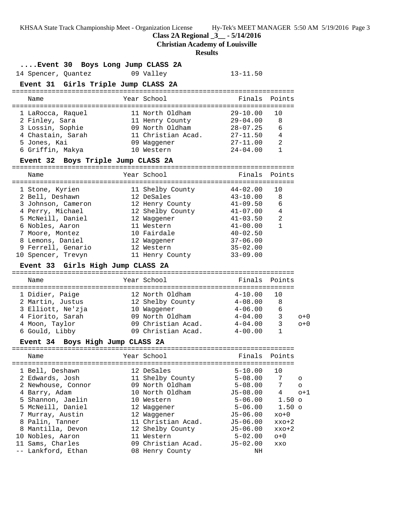KHSAA State Track Championship Meet - Organization License Hy-Tek's MEET MANAGER 5:50 AM 5/19/2016 Page 3

**Class 2A Regional \_3\_\_ - 5/14/2016**

**Christian Academy of Louisville**

#### **Results**

### **....Event 30 Boys Long Jump CLASS 2A**

14 Spencer, Quantez 09 Valley 13-11.50

# **Event 31 Girls Triple Jump CLASS 2A**

| Name                                                                                                             | Year School                                                                                              | Finals Points                                                                                |                                      |
|------------------------------------------------------------------------------------------------------------------|----------------------------------------------------------------------------------------------------------|----------------------------------------------------------------------------------------------|--------------------------------------|
| 1 LaRocca, Raquel<br>2 Finley, Sara<br>3 Lossin, Sophie<br>4 Chastain, Sarah<br>5 Jones, Kai<br>6 Griffin, Makya | 11 North Oldham<br>11 Henry County<br>09 North Oldham<br>11 Christian Acad.<br>09 Waqqener<br>10 Western | $29 - 10.00$<br>$29 - 04.00$<br>$28 - 07.25$<br>$27 - 11.50$<br>$27 - 11.00$<br>$24 - 04.00$ | 1 O<br>8<br>6<br>4<br>$\mathfrak{D}$ |
|                                                                                                                  |                                                                                                          |                                                                                              |                                      |

## **Event 32 Boys Triple Jump CLASS 2A**

|  | Name               | Year School      | Finals       | Points |
|--|--------------------|------------------|--------------|--------|
|  |                    |                  |              |        |
|  | 1 Stone, Kyrien    | 11 Shelby County | $44 - 02.00$ | 10     |
|  | 2 Bell, Deshawn    | 12 DeSales       | $43 - 10.00$ | 8      |
|  | 3 Johnson, Cameron | 12 Henry County  | $41 - 09.50$ | 6      |
|  | 4 Perry, Michael   | 12 Shelby County | $41 - 07.00$ | 4      |
|  | 5 McNeill, Daniel  | 12 Waqqener      | $41 - 03.50$ | 2      |
|  | 6 Nobles, Aaron    | 11 Western       | $41 - 00.00$ | 1      |
|  | 7 Moore, Montez    | 10 Fairdale      | $40 - 02.50$ |        |
|  | 8 Lemons, Daniel   | 12 Waqqener      | $37 - 06.00$ |        |
|  | 9 Ferrell, Genario | 12 Western       | $35 - 02.00$ |        |
|  | 10 Spencer, Trevyn | 11 Henry County  | $33 - 09.00$ |        |
|  |                    |                  |              |        |

### **Event 33 Girls High Jump CLASS 2A**

|  | Name              |  | Year School        | Finals Points |     |       |  |
|--|-------------------|--|--------------------|---------------|-----|-------|--|
|  | 1 Didier, Paige   |  | 12 North Oldham    | $4 - 10.00$   | 1 O |       |  |
|  | 2 Martin, Justus  |  | 12 Shelby County   | $4 - 08.00$   | 8   |       |  |
|  | 3 Elliott, Ne'zja |  | 10 Waqqener        | $4 - 06.00$   | 6   |       |  |
|  | 4 Fiorito, Sarah  |  | 09 North Oldham    | $4 - 04.00$   | 3   | $n+0$ |  |
|  | 4 Moon, Taylor    |  | 09 Christian Acad. | $4 - 04.00$   | 3   | $O+O$ |  |
|  | 6 Gould, Libby    |  | 09 Christian Acad. | $4 - 00.00$   |     |       |  |

### **Event 34 Boys High Jump CLASS 2A**

| Name               | Year School        | Finals Points |                   |          |
|--------------------|--------------------|---------------|-------------------|----------|
|                    |                    |               |                   |          |
| 1 Bell, Deshawn    | 12 DeSales         | $5 - 10.00$   | 10                |          |
| 2 Edwards, Josh    | 11 Shelby County   | $5 - 08.00$   | 7                 | $\circ$  |
| 2 Newhouse, Connor | 09 North Oldham    | $5 - 08.00$   | 7                 | $\Omega$ |
| 4 Barry, Adam      | 10 North Oldham    | $J5-08.00$    | 4                 | $o+1$    |
| 5 Shannon, Jaelin  | 10 Western         | $5 - 06.00$   | 1.50 <sub>o</sub> |          |
| 5 McNeill, Daniel  | 12 Waqqener        | $5 - 06.00$   | $1.50 \circ$      |          |
| 7 Murray, Austin   | 12 Waqqener        | $J5-06.00$    | $xo+0$            |          |
| 8 Palin, Tanner    | 11 Christian Acad. | $J5 - 06.00$  | $XXO+2$           |          |
| 8 Mantilla, Devon  | 12 Shelby County   | $J5-06.00$    | $xxo+2$           |          |
| 10 Nobles, Aaron   | 11 Western         | $5 - 02.00$   | $O+O$             |          |
| 11 Sams, Charles   | 09 Christian Acad. | $J5-02.00$    | XXO               |          |
| -- Lankford, Ethan | 08 Henry County    | ΝH            |                   |          |
|                    |                    |               |                   |          |